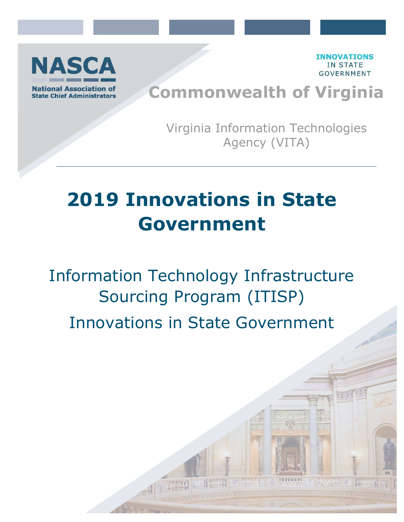

**INNOVATIONS IN STATE** GOVERNMENT

# Commonwealth of Virginia

Virginia Information Technologies Agency (VITA)

# 2019 Innovations in State Government

Information Technology Infrastructure Sourcing Program (ITISP) Innovations in State Government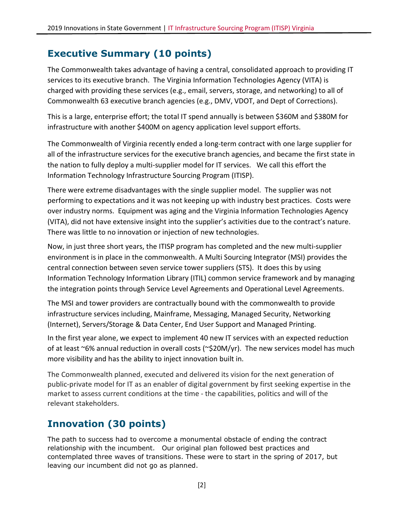#### Executive Summary (10 points)

The Commonwealth takes advantage of having a central, consolidated approach to providing IT services to its executive branch. The Virginia Information Technologies Agency (VITA) is charged with providing these services (e.g., email, servers, storage, and networking) to all of Commonwealth 63 executive branch agencies (e.g., DMV, VDOT, and Dept of Corrections).

This is a large, enterprise effort; the total IT spend annually is between \$360M and \$380M for infrastructure with another \$400M on agency application level support efforts.

The Commonwealth of Virginia recently ended a long-term contract with one large supplier for all of the infrastructure services for the executive branch agencies, and became the first state in the nation to fully deploy a multi-supplier model for IT services. We call this effort the Information Technology Infrastructure Sourcing Program (ITISP).

There were extreme disadvantages with the single supplier model. The supplier was not performing to expectations and it was not keeping up with industry best practices. Costs were over industry norms. Equipment was aging and the Virginia Information Technologies Agency (VITA), did not have extensive insight into the supplier's activities due to the contract's nature. There was little to no innovation or injection of new technologies.

Now, in just three short years, the ITISP program has completed and the new multi-supplier environment is in place in the commonwealth. A Multi Sourcing Integrator (MSI) provides the central connection between seven service tower suppliers (STS). It does this by using Information Technology Information Library (ITIL) common service framework and by managing the integration points through Service Level Agreements and Operational Level Agreements.

The MSI and tower providers are contractually bound with the commonwealth to provide infrastructure services including, Mainframe, Messaging, Managed Security, Networking (Internet), Servers/Storage & Data Center, End User Support and Managed Printing.

In the first year alone, we expect to implement 40 new IT services with an expected reduction of at least ~6% annual reduction in overall costs (~\$20M/yr). The new services model has much more visibility and has the ability to inject innovation built in.

The Commonwealth planned, executed and delivered its vision for the next generation of public-private model for IT as an enabler of digital government by first seeking expertise in the market to assess current conditions at the time - the capabilities, politics and will of the relevant stakeholders.

## Innovation (30 points)

The path to success had to overcome a monumental obstacle of ending the contract relationship with the incumbent. Our original plan followed best practices and contemplated three waves of transitions. These were to start in the spring of 2017, but leaving our incumbent did not go as planned.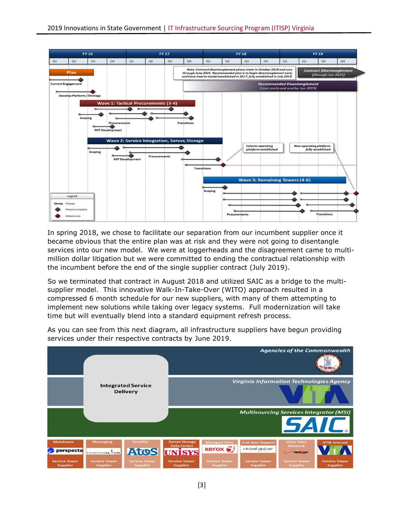

In spring 2018, we chose to facilitate our separation from our incumbent supplier once it became obvious that the entire plan was at risk and they were not going to disentangle services into our new model. We were at loggerheads and the disagreement came to multimillion dollar litigation but we were committed to ending the contractual relationship with the incumbent before the end of the single supplier contract (July 2019).

So we terminated that contract in August 2018 and utilized SAIC as a bridge to the multisupplier model. This innovative Walk-In-Take-Over (WITO) approach resulted in a compressed 6 month schedule for our new suppliers, with many of them attempting to implement new solutions while taking over legacy systems. Full modernization will take time but will eventually blend into a standard equipment refresh process.



As you can see from this next diagram, all infrastructure suppliers have begun providing services under their respective contracts by June 2019.